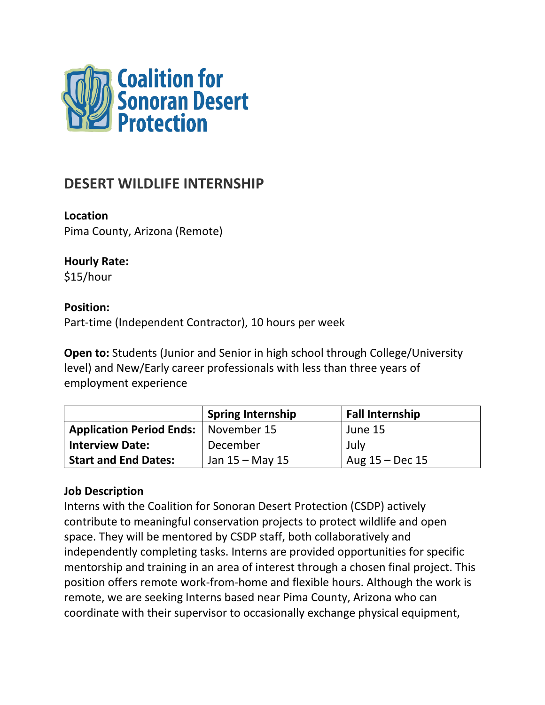

# **DESERT WILDLIFE INTERNSHIP**

**Location**

Pima County, Arizona (Remote)

# **Hourly Rate:**

\$15/hour

# **Position:**

Part-time (Independent Contractor), 10 hours per week

**Open to:** Students (Junior and Senior in high school through College/University level) and New/Early career professionals with less than three years of employment experience

|                                 | <b>Spring Internship</b> | <b>Fall Internship</b> |
|---------------------------------|--------------------------|------------------------|
| <b>Application Period Ends:</b> | November 15              | June 15                |
| <b>Interview Date:</b>          | December                 | July                   |
| <b>Start and End Dates:</b>     | Jan 15 – May 15          | Aug $15 - Dec 15$      |

# **Job Description**

Interns with the Coalition for Sonoran Desert Protection (CSDP) actively contribute to meaningful conservation projects to protect wildlife and open space. They will be mentored by CSDP staff, both collaboratively and independently completing tasks. Interns are provided opportunities for specific mentorship and training in an area of interest through a chosen final project. This position offers remote work-from-home and flexible hours. Although the work is remote, we are seeking Interns based near Pima County, Arizona who can coordinate with their supervisor to occasionally exchange physical equipment,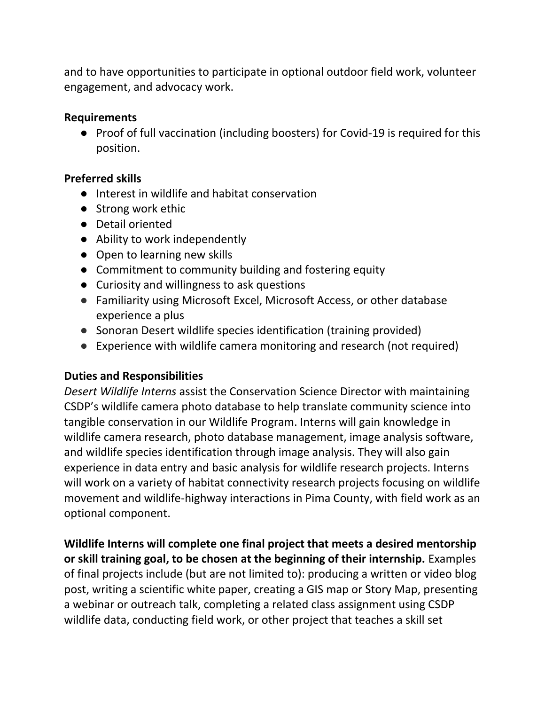and to have opportunities to participate in optional outdoor field work, volunteer engagement, and advocacy work.

#### **Requirements**

● Proof of full vaccination (including boosters) for Covid-19 is required for this position.

# **Preferred skills**

- Interest in wildlife and habitat conservation
- Strong work ethic
- Detail oriented
- Ability to work independently
- Open to learning new skills
- Commitment to community building and fostering equity
- Curiosity and willingness to ask questions
- Familiarity using Microsoft Excel, Microsoft Access, or other database experience a plus
- Sonoran Desert wildlife species identification (training provided)
- Experience with wildlife camera monitoring and research (not required)

# **Duties and Responsibilities**

*Desert Wildlife Interns* assist the Conservation Science Director with maintaining CSDP's wildlife camera photo database to help translate community science into tangible conservation in our Wildlife Program. Interns will gain knowledge in wildlife camera research, photo database management, image analysis software, and wildlife species identification through image analysis. They will also gain experience in data entry and basic analysis for wildlife research projects. Interns will work on a variety of habitat connectivity research projects focusing on wildlife movement and wildlife-highway interactions in Pima County, with field work as an optional component.

**Wildlife Interns will complete one final project that meets a desired mentorship or skill training goal, to be chosen at the beginning of their internship.** Examples of final projects include (but are not limited to): producing a written or video blog post, writing a scientific white paper, creating a GIS map or Story Map, presenting a webinar or outreach talk, completing a related class assignment using CSDP wildlife data, conducting field work, or other project that teaches a skill set